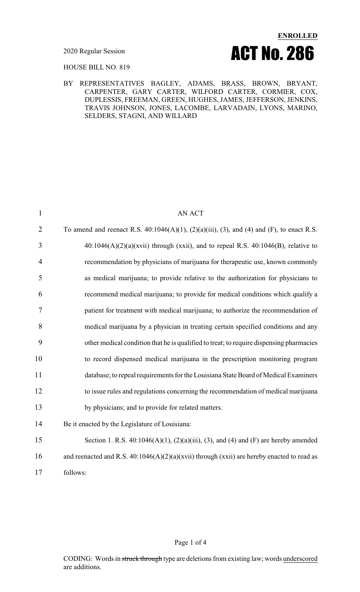

HOUSE BILL NO. 819

#### BY REPRESENTATIVES BAGLEY, ADAMS, BRASS, BROWN, BRYANT, CARPENTER, GARY CARTER, WILFORD CARTER, CORMIER, COX, DUPLESSIS, FREEMAN, GREEN, HUGHES, JAMES, JEFFERSON, JENKINS, TRAVIS JOHNSON, JONES, LACOMBE, LARVADAIN, LYONS, MARINO, SELDERS, STAGNI, AND WILLARD

| $\mathbf{1}$   | <b>AN ACT</b>                                                                                           |
|----------------|---------------------------------------------------------------------------------------------------------|
| $\overline{2}$ | To amend and reenact R.S. $40:1046(A)(1)$ , $(2)(a)(iii)$ , $(3)$ , and $(4)$ and $(F)$ , to enact R.S. |
| 3              | $40:1046(A)(2)(a)(xvii)$ through (xxii), and to repeal R.S. $40:1046(B)$ , relative to                  |
| $\overline{4}$ | recommendation by physicians of marijuana for therapeutic use, known commonly                           |
| 5              | as medical marijuana; to provide relative to the authorization for physicians to                        |
| 6              | recommend medical marijuana; to provide for medical conditions which qualify a                          |
| 7              | patient for treatment with medical marijuana; to authorize the recommendation of                        |
| 8              | medical marijuana by a physician in treating certain specified conditions and any                       |
| 9              | other medical condition that he is qualified to treat; to require dispensing pharmacies                 |
| 10             | to record dispensed medical marijuana in the prescription monitoring program                            |
| 11             | database; to repeal requirements for the Louisiana State Board of Medical Examiners                     |
| 12             | to issue rules and regulations concerning the recommendation of medical marijuana                       |
| 13             | by physicians; and to provide for related matters.                                                      |
| 14             | Be it enacted by the Legislature of Louisiana:                                                          |
| 15             | Section 1. R.S. $40:1046(A)(1)$ , $(2)(a)(iii)$ , $(3)$ , and $(4)$ and $(F)$ are hereby amended        |
| 16             | and reenacted and R.S. $40:1046(A)(2)(a)(xvii)$ through (xxii) are hereby enacted to read as            |
| 17             | follows:                                                                                                |

#### Page 1 of 4

CODING: Words in struck through type are deletions from existing law; words underscored are additions.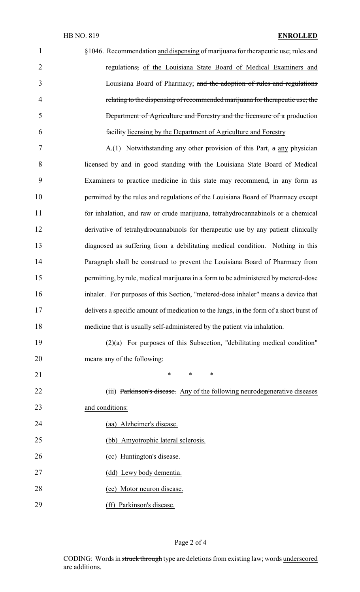| $\mathbf{1}$   | §1046. Recommendation and dispensing of marijuana for therapeutic use; rules and       |
|----------------|----------------------------------------------------------------------------------------|
| $\overline{2}$ | regulations; of the Louisiana State Board of Medical Examiners and                     |
| 3              | Louisiana Board of Pharmacy; and the adoption of rules and regulations                 |
| $\overline{4}$ | relating to the dispensing of recommended marijuana for therapeutic use; the           |
| 5              | <b>Department of Agriculture and Forestry and the licensure of a production</b>        |
| 6              | facility licensing by the Department of Agriculture and Forestry                       |
| 7              | A.(1) Notwithstanding any other provision of this Part, $\alpha$ any physician         |
| 8              | licensed by and in good standing with the Louisiana State Board of Medical             |
| 9              | Examiners to practice medicine in this state may recommend, in any form as             |
| 10             | permitted by the rules and regulations of the Louisiana Board of Pharmacy except       |
| 11             | for inhalation, and raw or crude marijuana, tetrahydrocannabinols or a chemical        |
| 12             | derivative of tetrahydrocannabinols for therapeutic use by any patient clinically      |
| 13             | diagnosed as suffering from a debilitating medical condition. Nothing in this          |
| 14             | Paragraph shall be construed to prevent the Louisiana Board of Pharmacy from           |
| 15             | permitting, by rule, medical marijuana in a form to be administered by metered-dose    |
| 16             | inhaler. For purposes of this Section, "metered-dose inhaler" means a device that      |
| 17             | delivers a specific amount of medication to the lungs, in the form of a short burst of |
| 18             | medicine that is usually self-administered by the patient via inhalation.              |
| 19             | $(2)(a)$ For purposes of this Subsection, "debilitating medical condition"             |
| 20             | means any of the following:                                                            |
| 21             | *<br>*<br>∗                                                                            |
| 22             | (iii) Parkinson's disease. Any of the following neurodegenerative diseases             |
| 23             | and conditions:                                                                        |
| 24             | (aa) Alzheimer's disease.                                                              |
| 25             | (bb) Amyotrophic lateral sclerosis.                                                    |
| 26             | (cc) Huntington's disease.                                                             |
| 27             | (dd) Lewy body dementia.                                                               |
| 28             | (ee) Motor neuron disease.                                                             |
| 29             | (ff) Parkinson's disease.                                                              |

# Page 2 of 4

CODING: Words in struck through type are deletions from existing law; words underscored are additions.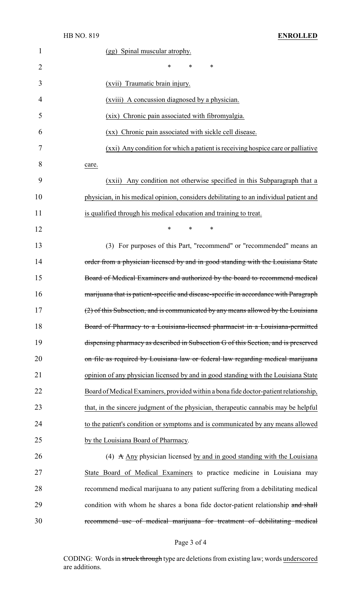| $\mathbf{1}$   | (gg) Spinal muscular atrophy.                                                          |
|----------------|----------------------------------------------------------------------------------------|
| $\overline{2}$ | $\ast$<br>$\ast$<br>∗                                                                  |
| 3              | (xvii) Traumatic brain injury.                                                         |
| 4              | (xviii) A concussion diagnosed by a physician.                                         |
| 5              | (xix) Chronic pain associated with fibromyalgia.                                       |
| 6              | (xx) Chronic pain associated with sickle cell disease.                                 |
| 7              | (xxi) Any condition for which a patient is receiving hospice care or palliative        |
| 8              | care.                                                                                  |
| 9              | (xxii) Any condition not otherwise specified in this Subparagraph that a               |
| 10             | physician, in his medical opinion, considers debilitating to an individual patient and |
| 11             | is qualified through his medical education and training to treat.                      |
| 12             | *<br>∗<br>∗                                                                            |
| 13             | (3) For purposes of this Part, "recommend" or "recommended" means an                   |
| 14             | order from a physician licensed by and in good standing with the Louisiana State       |
| 15             | Board of Medical Examiners and authorized by the board to recommend medical            |
| 16             | marijuana that is patient-specific and disease-specific in accordance with Paragraph   |
| 17             | (2) of this Subsection, and is communicated by any means allowed by the Louisiana      |
| 18             | Board of Pharmacy to a Louisiana-licensed pharmacist in a Louisiana-permitted          |
| 19             | dispensing pharmacy as described in Subsection G of this Section, and is preserved     |
| 20             | on file as required by Louisiana law or federal law regarding medical marijuana        |
| 21             | opinion of any physician licensed by and in good standing with the Louisiana State     |
| 22             | Board of Medical Examiners, provided within a bona fide doctor-patient relationship,   |
| 23             | that, in the sincere judgment of the physician, therapeutic cannabis may be helpful    |
| 24             | to the patient's condition or symptoms and is communicated by any means allowed        |
| 25             | by the Louisiana Board of Pharmacy.                                                    |
| 26             | (4) $\land$ Any physician licensed by and in good standing with the Louisiana          |
| 27             | State Board of Medical Examiners to practice medicine in Louisiana may                 |
| 28             | recommend medical marijuana to any patient suffering from a debilitating medical       |
| 29             | condition with whom he shares a bona fide doctor-patient relationship and shall        |
| 30             | recommend use of medical marijuana for treatment of debilitating medical               |

# Page 3 of 4

CODING: Words in struck through type are deletions from existing law; words underscored are additions.